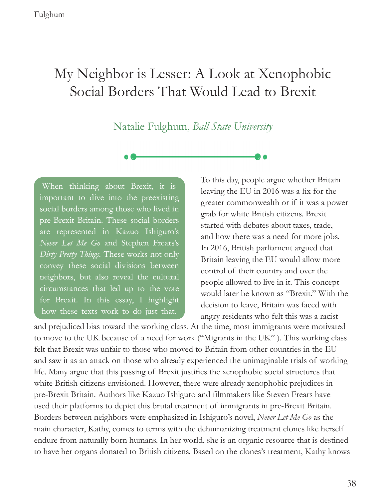# My Neighbor is Lesser: A Look at Xenophobic Social Borders That Would Lead to Brexit

Natalie Fulghum, *Ball State University*

When thinking about Brexit, it is important to dive into the preexisting social borders among those who lived in pre-Brexit Britain. These social borders are represented in Kazuo Ishiguro's *Never Let Me Go* and Stephen Frears's *Dirty Pretty Things.* These works not only convey these social divisions between neighbors, but also reveal the cultural circumstances that led up to the vote for Brexit. In this essay, I highlight how these texts work to do just that.

To this day, people argue whether Britain leaving the EU in 2016 was a fx for the greater commonwealth or if it was a power grab for white British citizens. Brexit started with debates about taxes, trade, and how there was a need for more jobs. In 2016, British parliament argued that Britain leaving the EU would allow more control of their country and over the people allowed to live in it. This concept would later be known as "Brexit." With the decision to leave, Britain was faced with angry residents who felt this was a racist

and prejudiced bias toward the working class. At the time, most immigrants were motivated to move to the UK because of a need for work ("Migrants in the UK" ). This working class felt that Brexit was unfair to those who moved to Britain from other countries in the EU and saw it as an attack on those who already experienced the unimaginable trials of working life. Many argue that this passing of Brexit justifes the xenophobic social structures that white British citizens envisioned. However, there were already xenophobic prejudices in pre-Brexit Britain. Authors like Kazuo Ishiguro and flmmakers like Steven Frears have used their platforms to depict this brutal treatment of immigrants in pre-Brexit Britain. Borders between neighbors were emphasized in Ishiguro's novel, *Never Let Me Go* as the main character, Kathy, comes to terms with the dehumanizing treatment clones like herself endure from naturally born humans. In her world, she is an organic resource that is destined to have her organs donated to British citizens. Based on the clones's treatment, Kathy knows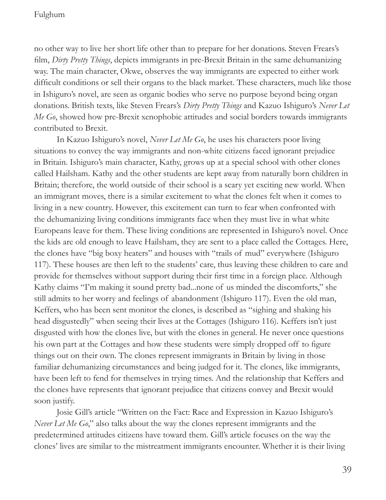no other way to live her short life other than to prepare for her donations. Steven Frears's flm, *Dirty Pretty Things*, depicts immigrants in pre-Brexit Britain in the same dehumanizing way. The main character, Okwe, observes the way immigrants are expected to either work difficult conditions or sell their organs to the black market. These characters, much like those in Ishiguro's novel, are seen as organic bodies who serve no purpose beyond being organ donations. British texts, like Steven Frears's *Dirty Pretty Things* and Kazuo Ishiguro's *Never Let Me Go*, showed how pre-Brexit xenophobic attitudes and social borders towards immigrants contributed to Brexit.

In Kazuo Ishiguro's novel, *Never Let Me Go*, he uses his characters poor living situations to convey the way immigrants and non-white citizens faced ignorant prejudice in Britain. Ishiguro's main character, Kathy, grows up at a special school with other clones called Hailsham. Kathy and the other students are kept away from naturally born children in Britain; therefore, the world outside of their school is a scary yet exciting new world. When an immigrant moves, there is a similar excitement to what the clones felt when it comes to living in a new country. However, this excitement can turn to fear when confronted with the dehumanizing living conditions immigrants face when they must live in what white Europeans leave for them. These living conditions are represented in Ishiguro's novel. Once the kids are old enough to leave Hailsham, they are sent to a place called the Cottages. Here, the clones have "big boxy heaters" and houses with "trails of mud" everywhere (Ishiguro 117). These houses are then left to the students' care, thus leaving these children to care and provide for themselves without support during their frst time in a foreign place. Although Kathy claims "I'm making it sound pretty bad...none of us minded the discomforts," she still admits to her worry and feelings of abandonment (Ishiguro 117). Even the old man, Keffers, who has been sent monitor the clones, is described as "sighing and shaking his head disgustedly" when seeing their lives at the Cottages (Ishiguro 116). Keffers isn't just disgusted with how the clones live, but with the clones in general. He never once questions his own part at the Cottages and how these students were simply dropped off to fgure things out on their own. The clones represent immigrants in Britain by living in those familiar dehumanizing circumstances and being judged for it. The clones, like immigrants, have been left to fend for themselves in trying times. And the relationship that Keffers and the clones have represents that ignorant prejudice that citizens convey and Brexit would soon justify.

Josie Gill's article "Written on the Fact: Race and Expression in Kazuo Ishiguro's *Never Let Me Go*," also talks about the way the clones represent immigrants and the predetermined attitudes citizens have toward them. Gill's article focuses on the way the clones' lives are similar to the mistreatment immigrants encounter. Whether it is their living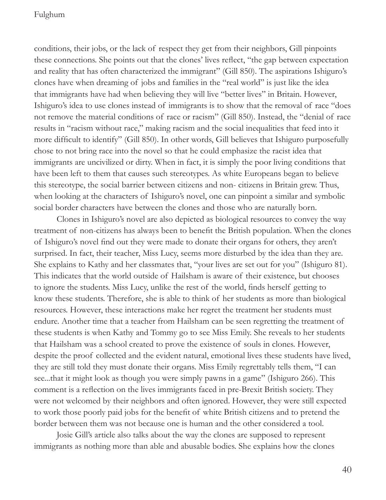conditions, their jobs, or the lack of respect they get from their neighbors, Gill pinpoints these connections. She points out that the clones' lives refect, "the gap between expectation and reality that has often characterized the immigrant" (Gill 850). The aspirations Ishiguro's clones have when dreaming of jobs and families in the "real world" is just like the idea that immigrants have had when believing they will live "better lives" in Britain. However, Ishiguro's idea to use clones instead of immigrants is to show that the removal of race "does not remove the material conditions of race or racism" (Gill 850). Instead, the "denial of race results in "racism without race," making racism and the social inequalities that feed into it more diffcult to identify" (Gill 850). In other words, Gill believes that Ishiguro purposefully chose to not bring race into the novel so that he could emphasize the racist idea that immigrants are uncivilized or dirty. When in fact, it is simply the poor living conditions that have been left to them that causes such stereotypes. As white Europeans began to believe this stereotype, the social barrier between citizens and non- citizens in Britain grew. Thus, when looking at the characters of Ishiguro's novel, one can pinpoint a similar and symbolic social border characters have between the clones and those who are naturally born.

Clones in Ishiguro's novel are also depicted as biological resources to convey the way treatment of non-citizens has always been to beneft the British population. When the clones of Ishiguro's novel fnd out they were made to donate their organs for others, they aren't surprised. In fact, their teacher, Miss Lucy, seems more disturbed by the idea than they are. She explains to Kathy and her classmates that, "your lives are set out for you" (Ishiguro 81). This indicates that the world outside of Hailsham is aware of their existence, but chooses to ignore the students. Miss Lucy, unlike the rest of the world, fnds herself getting to know these students. Therefore, she is able to think of her students as more than biological resources. However, these interactions make her regret the treatment her students must endure. Another time that a teacher from Hailsham can be seen regretting the treatment of these students is when Kathy and Tommy go to see Miss Emily. She reveals to her students that Hailsham was a school created to prove the existence of souls in clones. However, despite the proof collected and the evident natural, emotional lives these students have lived, they are still told they must donate their organs. Miss Emily regrettably tells them, "I can see...that it might look as though you were simply pawns in a game" (Ishiguro 266). This comment is a refection on the lives immigrants faced in pre-Brexit British society. They were not welcomed by their neighbors and often ignored. However, they were still expected to work those poorly paid jobs for the beneft of white British citizens and to pretend the border between them was not because one is human and the other considered a tool.

Josie Gill's article also talks about the way the clones are supposed to represent immigrants as nothing more than able and abusable bodies. She explains how the clones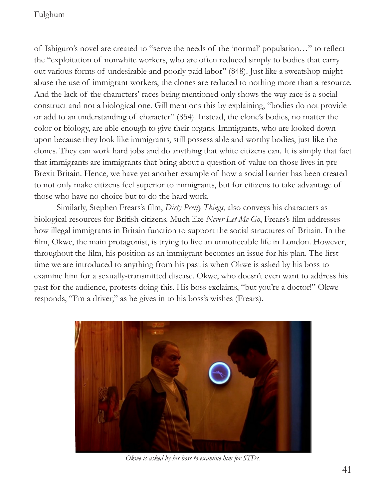of Ishiguro's novel are created to "serve the needs of the 'normal' population…" to refect the "exploitation of nonwhite workers, who are often reduced simply to bodies that carry out various forms of undesirable and poorly paid labor" (848). Just like a sweatshop might abuse the use of immigrant workers, the clones are reduced to nothing more than a resource. And the lack of the characters' races being mentioned only shows the way race is a social construct and not a biological one. Gill mentions this by explaining, "bodies do not provide or add to an understanding of character" (854). Instead, the clone's bodies, no matter the color or biology, are able enough to give their organs. Immigrants, who are looked down upon because they look like immigrants, still possess able and worthy bodies, just like the clones. They can work hard jobs and do anything that white citizens can. It is simply that fact that immigrants are immigrants that bring about a question of value on those lives in pre-Brexit Britain. Hence, we have yet another example of how a social barrier has been created to not only make citizens feel superior to immigrants, but for citizens to take advantage of those who have no choice but to do the hard work.

Similarly, Stephen Frears's flm, *Dirty Pretty Things*, also conveys his characters as biological resources for British citizens. Much like *Never Let Me Go*, Frears's flm addresses how illegal immigrants in Britain function to support the social structures of Britain. In the flm, Okwe, the main protagonist, is trying to live an unnoticeable life in London. However, throughout the flm, his position as an immigrant becomes an issue for his plan. The frst time we are introduced to anything from his past is when Okwe is asked by his boss to examine him for a sexually-transmitted disease. Okwe, who doesn't even want to address his past for the audience, protests doing this. His boss exclaims, "but you're a doctor!" Okwe responds, "I'm a driver," as he gives in to his boss's wishes (Frears).



*Okwe is asked by his boss to examine him for STDs.*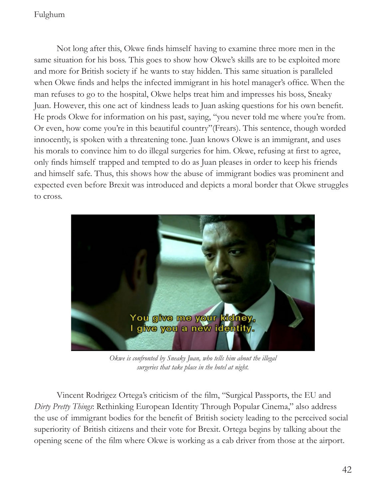Not long after this, Okwe fnds himself having to examine three more men in the same situation for his boss. This goes to show how Okwe's skills are to be exploited more and more for British society if he wants to stay hidden. This same situation is paralleled when Okwe finds and helps the infected immigrant in his hotel manager's office. When the man refuses to go to the hospital, Okwe helps treat him and impresses his boss, Sneaky Juan. However, this one act of kindness leads to Juan asking questions for his own beneft. He prods Okwe for information on his past, saying, "you never told me where you're from. Or even, how come you're in this beautiful country"(Frears). This sentence, though worded innocently, is spoken with a threatening tone. Juan knows Okwe is an immigrant, and uses his morals to convince him to do illegal surgeries for him. Okwe, refusing at frst to agree, only fnds himself trapped and tempted to do as Juan pleases in order to keep his friends and himself safe. Thus, this shows how the abuse of immigrant bodies was prominent and expected even before Brexit was introduced and depicts a moral border that Okwe struggles to cross.



*Okwe is confronted by Sneaky Juan, who tells him about the illegal surgeries that take place in the hotel at night.*

Vincent Rodrigez Ortega's criticism of the flm, "Surgical Passports, the EU and *Dirty Pretty Things*: Rethinking European Identity Through Popular Cinema," also address the use of immigrant bodies for the beneft of British society leading to the perceived social superiority of British citizens and their vote for Brexit. Ortega begins by talking about the opening scene of the flm where Okwe is working as a cab driver from those at the airport.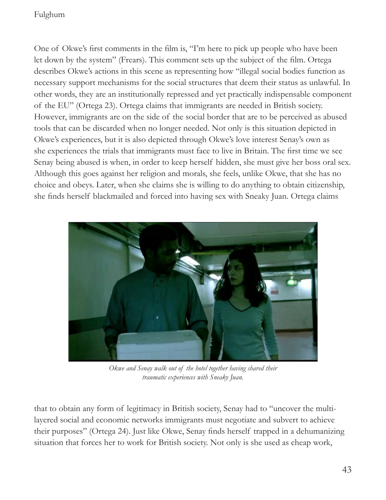One of Okwe's frst comments in the flm is, "I'm here to pick up people who have been let down by the system" (Frears). This comment sets up the subject of the flm. Ortega describes Okwe's actions in this scene as representing how "illegal social bodies function as necessary support mechanisms for the social structures that deem their status as unlawful. In other words, they are an institutionally repressed and yet practically indispensable component of the EU" (Ortega 23). Ortega claims that immigrants are needed in British society. However, immigrants are on the side of the social border that are to be perceived as abused tools that can be discarded when no longer needed. Not only is this situation depicted in Okwe's experiences, but it is also depicted through Okwe's love interest Senay's own as she experiences the trials that immigrants must face to live in Britain. The frst time we see Senay being abused is when, in order to keep herself hidden, she must give her boss oral sex. Although this goes against her religion and morals, she feels, unlike Okwe, that she has no choice and obeys. Later, when she claims she is willing to do anything to obtain citizenship, she fnds herself blackmailed and forced into having sex with Sneaky Juan. Ortega claims



*Okwe and Senay walk out of the hotel together having shared their traumatic experiences with Sneaky Juan.*

that to obtain any form of legitimacy in British society, Senay had to "uncover the multilayered social and economic networks immigrants must negotiate and subvert to achieve their purposes" (Ortega 24). Just like Okwe, Senay fnds herself trapped in a dehumanizing situation that forces her to work for British society. Not only is she used as cheap work,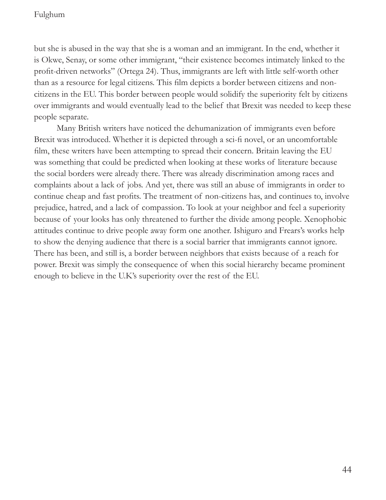but she is abused in the way that she is a woman and an immigrant. In the end, whether it is Okwe, Senay, or some other immigrant, "their existence becomes intimately linked to the proft-driven networks" (Ortega 24). Thus, immigrants are left with little self-worth other than as a resource for legal citizens. This flm depicts a border between citizens and noncitizens in the EU. This border between people would solidify the superiority felt by citizens over immigrants and would eventually lead to the belief that Brexit was needed to keep these people separate.

Many British writers have noticed the dehumanization of immigrants even before Brexit was introduced. Whether it is depicted through a sci-f novel, or an uncomfortable flm, these writers have been attempting to spread their concern. Britain leaving the EU was something that could be predicted when looking at these works of literature because the social borders were already there. There was already discrimination among races and complaints about a lack of jobs. And yet, there was still an abuse of immigrants in order to continue cheap and fast profts. The treatment of non-citizens has, and continues to, involve prejudice, hatred, and a lack of compassion. To look at your neighbor and feel a superiority because of your looks has only threatened to further the divide among people. Xenophobic attitudes continue to drive people away form one another. Ishiguro and Frears's works help to show the denying audience that there is a social barrier that immigrants cannot ignore. There has been, and still is, a border between neighbors that exists because of a reach for power. Brexit was simply the consequence of when this social hierarchy became prominent enough to believe in the U.K's superiority over the rest of the EU.